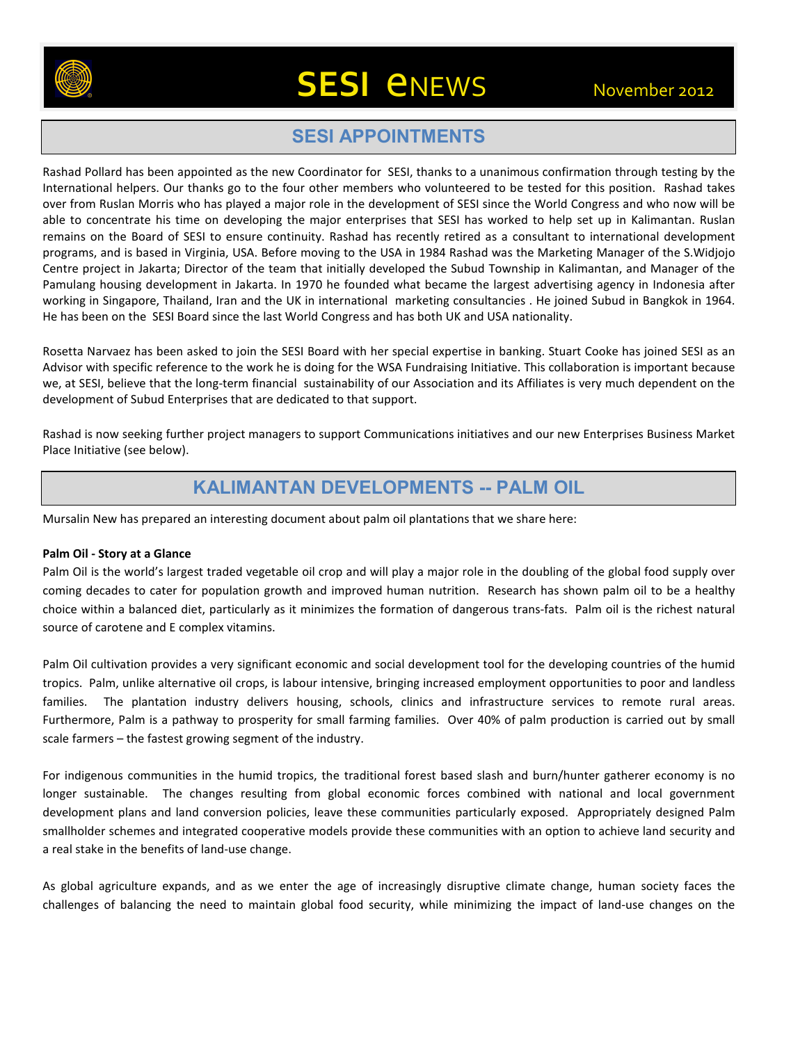

# **SESI** *ENEWS* November 2012

# **SESI APPOINTMENTS**

Rashad Pollard has been appointed as the new Coordinator for SESI, thanks to a unanimous confirmation through testing by the International helpers. Our thanks go to the four other members who volunteered to be tested for this position. Rashad takes over from Ruslan Morris who has played a major role in the development of SESI since the World Congress and who now will be able to concentrate his time on developing the major enterprises that SESI has worked to help set up in Kalimantan. Ruslan remains on the Board of SESI to ensure continuity. Rashad has recently retired as a consultant to international development programs, and is based in Virginia, USA. Before moving to the USA in 1984 Rashad was the Marketing Manager of the S.Widjojo Centre project in Jakarta; Director of the team that initially developed the Subud Township in Kalimantan, and Manager of the Pamulang housing development in Jakarta. In 1970 he founded what became the largest advertising agency in Indonesia after working in Singapore, Thailand, Iran and the UK in international marketing consultancies . He joined Subud in Bangkok in 1964. He has been on the SESI Board since the last World Congress and has both UK and USA nationality.

Rosetta Narvaez has been asked to join the SESI Board with her special expertise in banking. Stuart Cooke has joined SESI as an Advisor with specific reference to the work he is doing for the WSA Fundraising Initiative. This collaboration is important because we, at SESI, believe that the long-term financial sustainability of our Association and its Affiliates is very much dependent on the development of Subud Enterprises that are dedicated to that support.

Rashad is now seeking further project managers to support Communications initiatives and our new Enterprises Business Market Place Initiative (see below).

## **KALIMANTAN DEVELOPMENTS -- PALM OIL**

Mursalin New has prepared an interesting document about palm oil plantations that we share here:

#### **Palm Oil - Story at a Glance**

Palm Oil is the world's largest traded vegetable oil crop and will play a major role in the doubling of the global food supply over coming decades to cater for population growth and improved human nutrition. Research has shown palm oil to be a healthy choice within a balanced diet, particularly as it minimizes the formation of dangerous trans-fats. Palm oil is the richest natural source of carotene and E complex vitamins.

Palm Oil cultivation provides a very significant economic and social development tool for the developing countries of the humid tropics. Palm, unlike alternative oil crops, is labour intensive, bringing increased employment opportunities to poor and landless families. The plantation industry delivers housing, schools, clinics and infrastructure services to remote rural areas. Furthermore, Palm is a pathway to prosperity for small farming families. Over 40% of palm production is carried out by small scale farmers – the fastest growing segment of the industry.

For indigenous communities in the humid tropics, the traditional forest based slash and burn/hunter gatherer economy is no longer sustainable. The changes resulting from global economic forces combined with national and local government development plans and land conversion policies, leave these communities particularly exposed. Appropriately designed Palm smallholder schemes and integrated cooperative models provide these communities with an option to achieve land security and a real stake in the benefits of land-use change.

As global agriculture expands, and as we enter the age of increasingly disruptive climate change, human society faces the challenges of balancing the need to maintain global food security, while minimizing the impact of land-use changes on the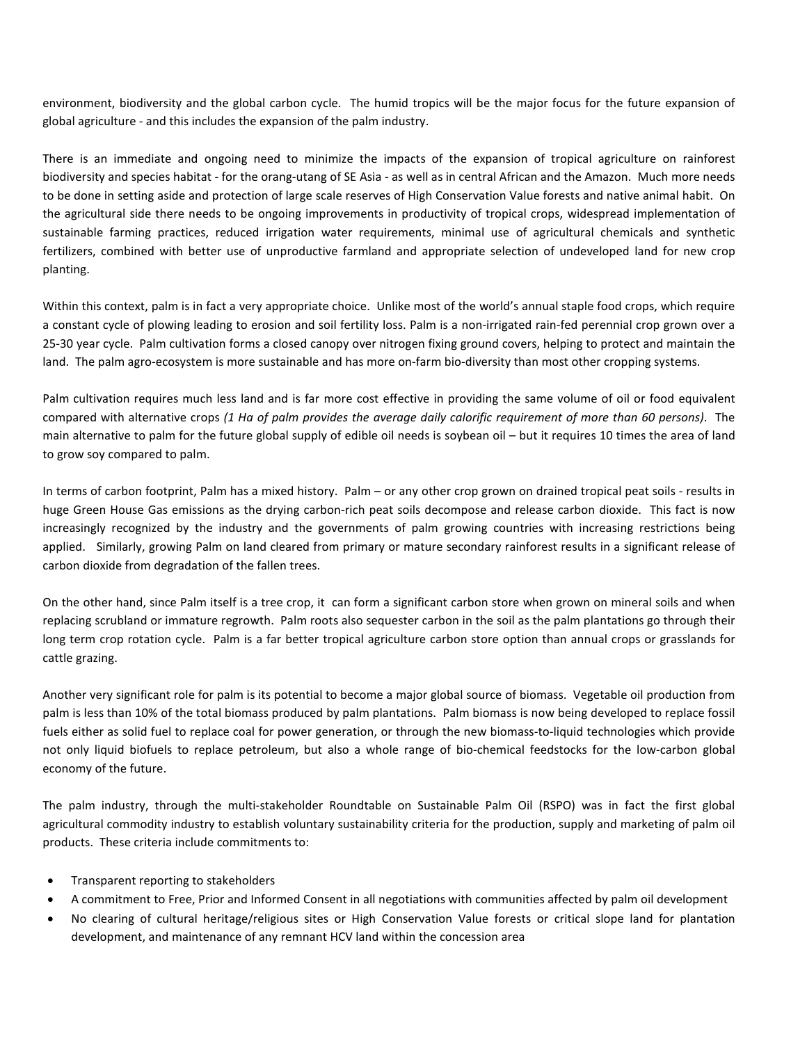environment, biodiversity and the global carbon cycle. The humid tropics will be the major focus for the future expansion of global agriculture - and this includes the expansion of the palm industry.

There is an immediate and ongoing need to minimize the impacts of the expansion of tropical agriculture on rainforest biodiversity and species habitat - for the orang-utang of SE Asia - as well as in central African and the Amazon. Much more needs to be done in setting aside and protection of large scale reserves of High Conservation Value forests and native animal habit. On the agricultural side there needs to be ongoing improvements in productivity of tropical crops, widespread implementation of sustainable farming practices, reduced irrigation water requirements, minimal use of agricultural chemicals and synthetic fertilizers, combined with better use of unproductive farmland and appropriate selection of undeveloped land for new crop planting.

Within this context, palm is in fact a very appropriate choice. Unlike most of the world's annual staple food crops, which require a constant cycle of plowing leading to erosion and soil fertility loss. Palm is a non-irrigated rain-fed perennial crop grown over a 25-30 year cycle. Palm cultivation forms a closed canopy over nitrogen fixing ground covers, helping to protect and maintain the land. The palm agro-ecosystem is more sustainable and has more on-farm bio-diversity than most other cropping systems.

Palm cultivation requires much less land and is far more cost effective in providing the same volume of oil or food equivalent compared with alternative crops *(1 Ha of palm provides the average daily calorific requirement of more than 60 persons)*. The main alternative to palm for the future global supply of edible oil needs is soybean oil – but it requires 10 times the area of land to grow soy compared to palm.

In terms of carbon footprint, Palm has a mixed history. Palm – or any other crop grown on drained tropical peat soils - results in huge Green House Gas emissions as the drying carbon-rich peat soils decompose and release carbon dioxide. This fact is now increasingly recognized by the industry and the governments of palm growing countries with increasing restrictions being applied. Similarly, growing Palm on land cleared from primary or mature secondary rainforest results in a significant release of carbon dioxide from degradation of the fallen trees.

On the other hand, since Palm itself is a tree crop, it can form a significant carbon store when grown on mineral soils and when replacing scrubland or immature regrowth. Palm roots also sequester carbon in the soil as the palm plantations go through their long term crop rotation cycle. Palm is a far better tropical agriculture carbon store option than annual crops or grasslands for cattle grazing.

Another very significant role for palm is its potential to become a major global source of biomass. Vegetable oil production from palm is less than 10% of the total biomass produced by palm plantations. Palm biomass is now being developed to replace fossil fuels either as solid fuel to replace coal for power generation, or through the new biomass-to-liquid technologies which provide not only liquid biofuels to replace petroleum, but also a whole range of bio-chemical feedstocks for the low-carbon global economy of the future.

The palm industry, through the multi-stakeholder Roundtable on Sustainable Palm Oil (RSPO) was in fact the first global agricultural commodity industry to establish voluntary sustainability criteria for the production, supply and marketing of palm oil products. These criteria include commitments to:

- Transparent reporting to stakeholders
- A commitment to Free, Prior and Informed Consent in all negotiations with communities affected by palm oil development
- No clearing of cultural heritage/religious sites or High Conservation Value forests or critical slope land for plantation development, and maintenance of any remnant HCV land within the concession area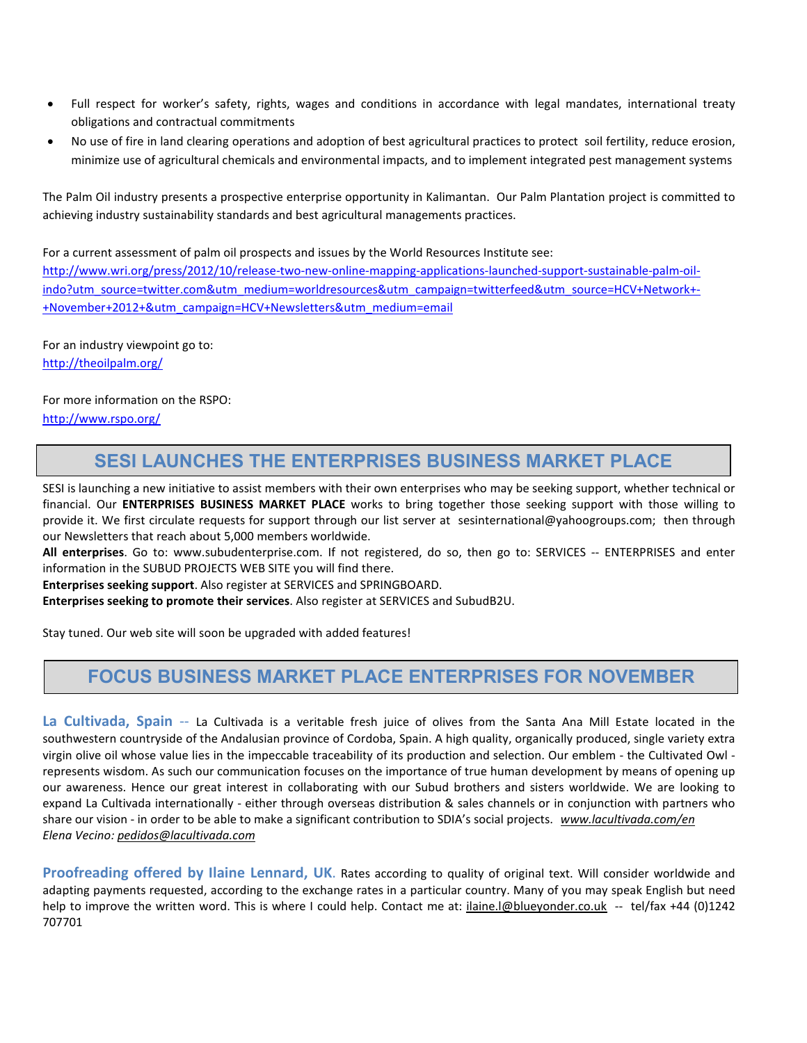- Full respect for worker's safety, rights, wages and conditions in accordance with legal mandates, international treaty obligations and contractual commitments
- No use of fire in land clearing operations and adoption of best agricultural practices to protect soil fertility, reduce erosion, minimize use of agricultural chemicals and environmental impacts, and to implement integrated pest management systems

The Palm Oil industry presents a prospective enterprise opportunity in Kalimantan. Our Palm Plantation project is committed to achieving industry sustainability standards and best agricultural managements practices.

For a current assessment of palm oil prospects and issues by the World Resources Institute see: http://www.wri.org/press/2012/10/release-two-new-online-mapping-applications-launched-support-sustainable-palm-oilindo?utm\_source=twitter.com&utm\_medium=worldresources&utm\_campaign=twitterfeed&utm\_source=HCV+Network+-+November+2012+&utm\_campaign=HCV+Newsletters&utm\_medium=email

For an industry viewpoint go to: http://theoilpalm.org/

For more information on the RSPO: http://www.rspo.org/

## **SESI LAUNCHES THE ENTERPRISES BUSINESS MARKET PLACE**

SESI is launching a new initiative to assist members with their own enterprises who may be seeking support, whether technical or financial. Our **ENTERPRISES BUSINESS MARKET PLACE** works to bring together those seeking support with those willing to provide it. We first circulate requests for support through our list server at sesinternational@yahoogroups.com; then through our Newsletters that reach about 5,000 members worldwide.

**All enterprises**. Go to: www.subudenterprise.com. If not registered, do so, then go to: SERVICES -- ENTERPRISES and enter information in the SUBUD PROJECTS WEB SITE you will find there.

**Enterprises seeking support**. Also register at SERVICES and SPRINGBOARD.

**Enterprises seeking to promote their services**. Also register at SERVICES and SubudB2U.

Stay tuned. Our web site will soon be upgraded with added features!

### **FOCUS BUSINESS MARKET PLACE ENTERPRISES FOR NOVEMBER**

**La Cultivada, Spain** -- La Cultivada is a veritable fresh juice of olives from the Santa Ana Mill Estate located in the southwestern countryside of the Andalusian province of Cordoba, Spain. A high quality, organically produced, single variety extra virgin olive oil whose value lies in the impeccable traceability of its production and selection. Our emblem - the Cultivated Owl represents wisdom. As such our communication focuses on the importance of true human development by means of opening up our awareness. Hence our great interest in collaborating with our Subud brothers and sisters worldwide. We are looking to expand La Cultivada internationally - either through overseas distribution & sales channels or in conjunction with partners who share our vision - in order to be able to make a significant contribution to SDIA's social projects. *www.lacultivada.com/en Elena Vecino: pedidos@lacultivada.com*

**Proofreading offered by Ilaine Lennard, UK**. Rates according to quality of original text. Will consider worldwide and adapting payments requested, according to the exchange rates in a particular country. Many of you may speak English but need help to improve the written word. This is where I could help. Contact me at: *ilaine.l@blueyonder.co.uk* -- tel/fax +44 (0)1242 707701